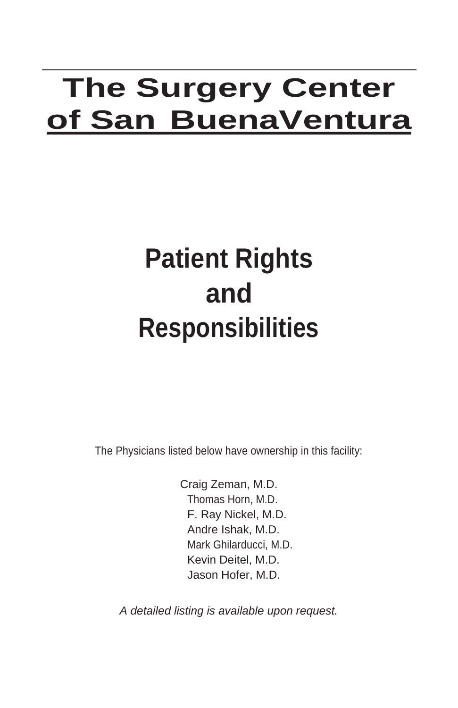# **The Surgery Center of San BuenaVentura**

# **Patient Rights and Responsibilities**

The Physicians listed below have ownership in this facility:

Craig Zeman, M.D. Thomas Horn, M.D. F. Ray Nickel, M.D. Andre Ishak, M.D. Mark Ghilarducci, M.D. Kevin Deitel, M.D. Jason Hofer, M.D.

*A detailed listing is available upon request.*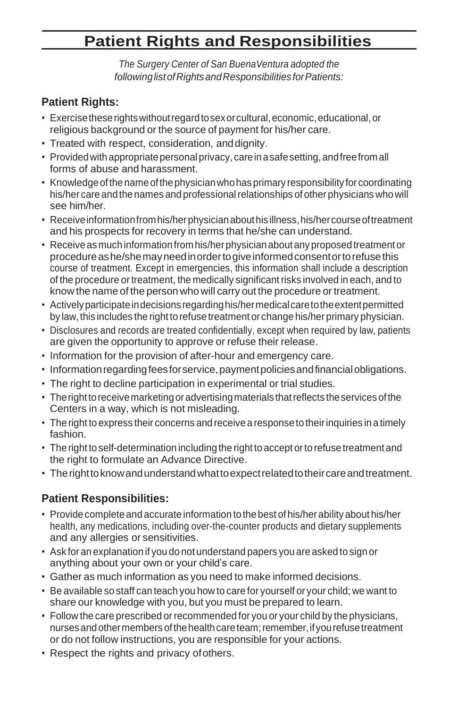# **Patient Rights and Responsibilities**

*The Surgery Center of San BuenaVentura adopted the followinglistofRightsandResponsibilities forPatients:*

## **Patient Rights:**

- Exercisetheserightswithoutregardtosexorcultural,economic,educational,or religious background or the source of payment for his/her care.
- Treated with respect, consideration, anddignity.
- Provided with appropriate personal privacy, care in a safe setting, and free from all forms of abuse and harassment.
- Knowledge of the name of the physician who has primary responsibility for coordinating his/her care and the names and professional relationships of other physicians who will see him/her.
- Receive information from his/her physician about his illness, his/her course of treatment and his prospects for recovery in terms that he/she can understand.
- Receive as much information from his/her physician about any proposed treatment or procedureashe/shemayneedinordertogiveinformedconsentortorefusethis course of treatment. Except in emergencies, this information shall include a description of the procedure ortreatment, the medically significant risks involved in each, and to know the name of the person who will carry out the procedure or treatment.
- Activelyparticipateindecisions regardinghis/hermedicalcaretotheextentpermitted by law, this includes the right to refuse treatment or change his/her primary physician.
- Disclosures and records are treated confidentially, except when required by law, patients are given the opportunity to approve or refuse their release.
- Information for the provision of after-hour and emergency care.
- Information regarding fees for service, payment policies and financial obligations.
- The right to decline participation in experimental or trial studies.
- The right to receive marketing or advertising materials that reflects the services of the Centers in a way, which is not misleading.
- The right to express their concerns and receive a response to theirinquiries in a timely fashion.
- The right to self-determination including the right to accept orto refuse treatment and the right to formulate an Advance Directive.
- Therighttoknowandunderstandwhattoexpectrelatedtotheircareandtreatment.

## **Patient Responsibilities:**

- Provide complete and accurate information to thebest of his/herability about his/her health, any medications, including over-the-counter products and dietary supplements and any allergies or sensitivities.
- Ask for an explanation if you do not understand papers you are asked to sign or anything about your own or your child's care.
- Gather as much information as you need to make informed decisions.
- Be available so staff can teach you how to care for yourself or your child; we want to share our knowledge with you, but you must be prepared to learn.
- Follow the care prescribed or recommended for you or your child by the physicians, nurses and other members of the health care team; remember, if you refuse treatment or do not follow instructions, you are responsible for your actions.
- Respect the rights and privacy ofothers.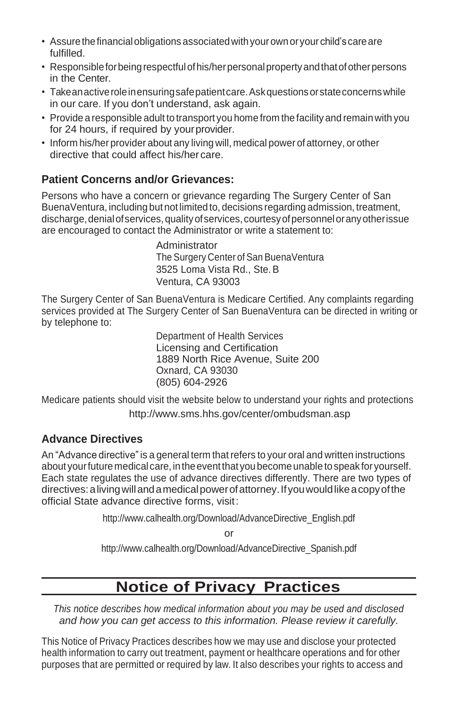- Assure the financial obligations associated with your own or your child's care are fulfilled.
- Responsibleforbeingrespectfulofhis/herpersonalpropertyandthatofotherpersons in the Center.
- Takean active role in ensuring safe patient care. Ask questions or state concerns while in our care. If you don't understand, ask again.
- Provide a responsible adult to transport you home from thefacility and remainwith you for 24 hours, if required by yourprovider.
- Inform his/her provider about any living will, medical power of attorney, or other directive that could affect his/her care.

### **Patient Concerns and/or Grievances:**

Persons who have a concern or grievance regarding The Surgery Center of San BuenaVentura, including but not limited to, decisions regarding admission, treatment, discharge, denial of services, quality of services, courtesy of personnel or any other issue are encouraged to contact the Administrator or write a statement to:

> Administrator The Surgery Center of San BuenaVentura 3525 Loma Vista Rd., Ste.B Ventura, CA 93003

The Surgery Center of San BuenaVentura is Medicare Certified. Any complaints regarding services provided at The Surgery Center of San BuenaVentura can be directed in writing or by telephone to:

> Department of Health Services Licensing and Certification 1889 North Rice Avenue, Suite 200 Oxnard, CA 93030 (805) 604-2926

Medicare patients should visit the website below to understand your rights and protections <http://www.sms.hhs.gov/center/ombudsman.asp>

### **Advance Directives**

An "Advance directive" is a general term that refers to your oral and written instructions about your future medical care, in the event that you become unable to speak for yourself. Each state regulates the use of advance directives differently. There are two types of directives:alivingwillandamedicalpowerofattorney.Ifyouwouldlikeacopyofthe official State advance directive forms, visit:

[http://www.calhealth.org/Download/AdvanceDirective\\_English.pdf](http://www.calhealth.org/Download/AdvanceDirective_English.pdf) 

or

[http://www.calhealth.org/Download/AdvanceDirective\\_Spanish.pdf](http://www.calhealth.org/Download/AdvanceDirective_Spanish.pdf)

# **Notice of Privacy Practices**

*This notice describes how medical information about you may be used and disclosed and how you can get access to this information. Please review it carefully.*

This Notice of Privacy Practices describes how we may use and disclose your protected health information to carry out treatment, payment or healthcare operations and for other purposes that are permitted or required by law. It also describes your rights to access and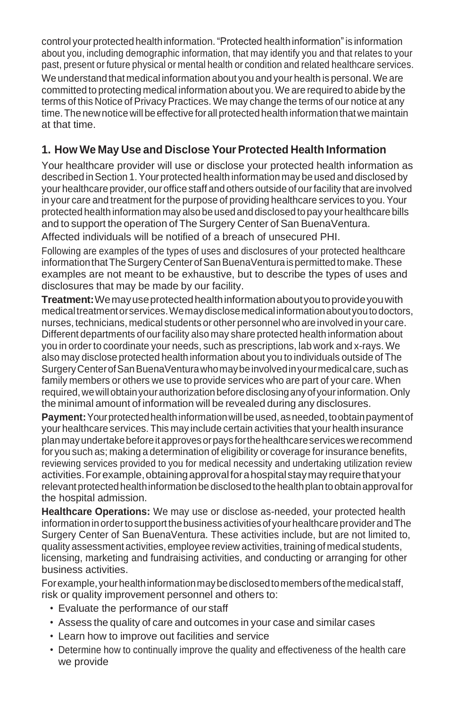control your protected health information."Protected health information"is information about you, including demographic information, that may identify you and that relates to your past, present or future physical or mental health or condition and related healthcare services. We understand that medical information about you and your health is personal.We are committed to protecting medical information about you. We are required to abide by the terms of this Notice of Privacy Practices. We may change the terms of our notice at any time. The new notice will be effective for all protected health information that we maintain at that time.

## **1. How We May Use and Disclose YourProtected Health Information**

Your healthcare provider will use or disclose your protected health information as described in Section 1. Your protected health information may be used and disclosed by your healthcare provider, our office staff and others outside of our facility that are involved in your care and treatment forthe purpose of providing healthcare services to you. Your protected health information may also be used anddisclosed to pay yourhealthcare bills and to support the operation of The Surgery Center of San BuenaVentura. Affected individuals will be notified of a breach of unsecured PHI.

Following are examples of the types of uses and disclosures of your protected healthcare information that The Surgery Center of San BuenaVentura is permitted to make. These examples are not meant to be exhaustive, but to describe the types of uses and disclosures that may be made by our facility.

**Treatment:**Wemayuseprotectedhealthinformationaboutyoutoprovideyouwith medical treatment or services. We may disclose medical information about you to doctors, nurses, technicians, medical students or other personnel who are involved in your care. Different departments of ourfacility also may share protected health information about you in order to coordinate your needs, such as prescriptions, lab work and x-rays. We also may disclose protected health information about you to individuals outside of The SurgeryCenterofSanBuenaVenturawhomaybeinvolvedinyourmedicalcare,suchas family members or others we use to provide services who are part of your care. When required,wewillobtainyourauthorization beforedisclosinganyofyourinformation.Only the minimal amount of information will be revealed during any disclosures.

**Payment:** Your protected health information will be used, as needed, to obtain payment of your healthcare services. This may include certain activities that your health insurance planmayundertakebeforeitapprovesorpays forthehealthcareserviceswerecommend for you such as; making a determination of eligibility or coverage for insurance benefits, reviewing services provided to you for medical necessity and undertaking utilization review activities.Forexample,obtainingapprovalforahospitalstaymay requirethatyour relevant protected health information be disclosed to the health plan to obtain approval for the hospital admission.

**Healthcare Operations:** We may use or disclose as-needed, your protected health informationinordertosupport thebusiness activitiesof yourhealthcareproviderandThe Surgery Center of San BuenaVentura. These activities include, but are not limited to, quality assessment activities, employee review activities, training of medical students, licensing, marketing and fundraising activities, and conducting or arranging for other business activities.

Forexample,yourhealthinformationmaybedisclosedtomembers ofthemedicalstaff, risk or quality improvement personnel and others to:

- Evaluate the performance of our staff
- Assess the quality of care and outcomes in your case and similar cases
- Learn how to improve out facilities and service
- Determine how to continually improve the quality and effectiveness of the health care we provide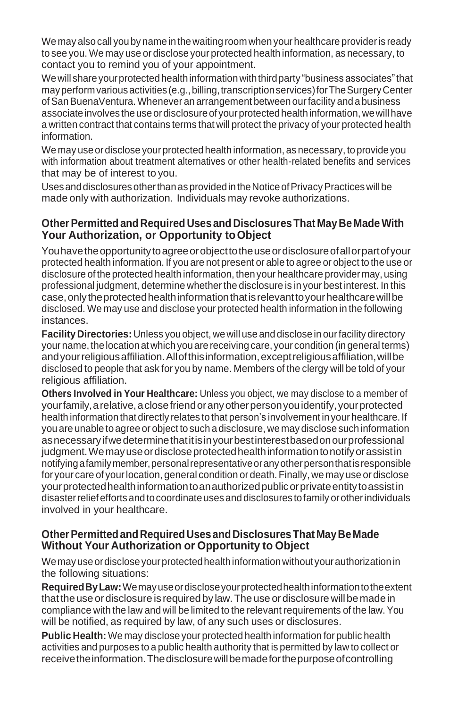We may also call youby name in thewaiting room when your healthcare provideris ready to see you. We may use or disclose your protected health information, as necessary, to contact you to remind you of your appointment.

We will share your protected health information with third party "business associates" that may perform various activities (e.g., billing, transcription services) for The Surgery Center ofSanBuenaVentura.Whenever an arrangement between ourfacility and a business associate involves the use or disclosure of your protected health information, we will have a written contract that contains terms that will protect the privacy of your protected health information.

We may use or disclose your protected health information, as necessary, to provide you with information about treatment alternatives or other health-related benefits and services that may be of interest to you.

Uses and disclosures other than as provided in the Notice of Privacy Practices will be made only with authorization. Individuals may revoke authorizations.

### **Other Permitted and Required Uses and Disclosures That May Be Made With Your Authorization, or Opportunity toObject**

Youhavetheopportunitytoagreeorobjecttotheuseordisclosureofallorpartofyour protected health information. If you are not present or able to agree or object to the use or disclosure of the protected health information, then your healthcare provider may, using professional judgment, determine whether the disclosure is in your best interest. In this case,onlytheprotectedhealthinformationthatisrelevanttoyourhealthcarewillbe disclosed. We may use and disclose your protected health information in the following instances.

**Facility Directories:** Unless youobject, wewill use and disclose in ourfacility directory your name, the location at which you are receiving care, your condition (in general terms) and your religious affiliation. All of this information, except religious affiliation, will be disclosed to people that ask for you by name. Members of the clergy will be told of your religious affiliation.

**Others Involved in Your Healthcare:** Unless you object, we may disclose to a member of yourfamily,arelative,aclosefriendoranyotherpersonyouidentify,yourprotected health information that directly relates to that person's involvement in your healthcare. If you are unable to agree or object to such a disclosure, we may disclose such information asnecessaryifwedeterminethatitisinyourbestinterestbasedonourprofessional judgment. We may use or disclose protected health information to notify or assist in notifyingafamilymember,personalrepresentativeoranyotherpersonthatisresponsible for your care of yourlocation, general condition or death.Finally, we may use or disclose yourprotectedhealthinformationtoanauthorizedpublicorprivateentitytoassistin disasterreliefefforts and tocoordinateusesand disclosures tofamily orotherindividuals involved in your healthcare.

### **OtherPermittedandRequiredUsesandDisclosuresThat MayBeMade Without Your Authorization or Opportunity to Object**

We may use or disclose your protected health information without your authorization in the following situations:

**RequiredByLaw:**Wemayuseordiscloseyourprotectedhealthinformationtotheextent that the use or disclosure is required by law. The use or disclosure will be made in compliance with the law and will be limited to the relevant requirements of the law.You will be notified, as required by law, of any such uses or disclosures.

**Public Health:** We may disclose your protected health information for public health activities and purposes to a public health authority that is permitted by law to collect or receivetheinformation.Thedisclosurewillbemadeforthepurposeofcontrolling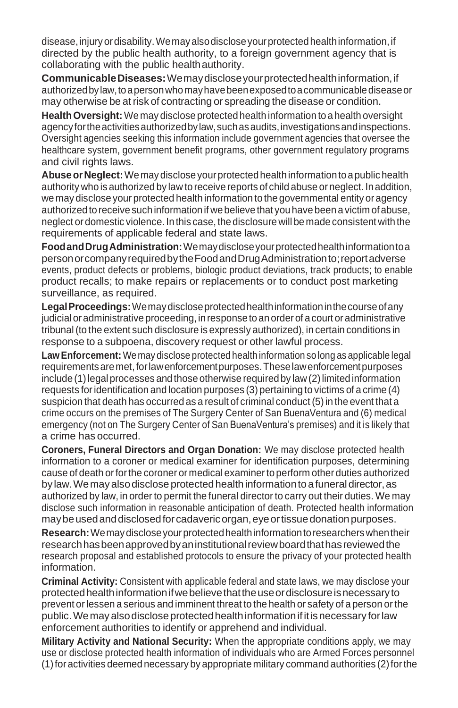disease, injury or disability. We may also disclose your protected health information, if directed by the public health authority, to a foreign government agency that is collaborating with the public healthauthority.

**CommunicableDiseases:**Wemaydiscloseyourprotectedhealthinformation,if authorizedbylaw,toapersonwhomayhavebeenexposedtoacommunicablediseaseor may otherwise be atrisk of contracting or spreading the disease or condition.

**Health Oversight:** We may disclose protected health information to a health oversight agencyfortheactivitiesauthorizedbylaw,suchasaudits,investigationsandinspections. Oversight agencies seeking this information include government agencies that oversee the healthcare system, government benefit programs, other government regulatory programs and civil rights laws.

Abuse or Neglect: We may disclose your protected health information to a public health authority who is authorized by law to receive reports of child abuse orneglect. In addition, we may disclose your protected health information to the governmental entity oragency authorized to receive such information if we believe that you have been a victim of abuse, neglect ordomestic violence. In this case, the disclosure will be made consistent with the requirements of applicable federal and state laws.

**FoodandDrugAdministration:**Wemaydiscloseyourprotectedhealthinformationtoa personorcompanyrequiredbytheFoodandDrugAdministrationto;reportadverse events, product defects or problems, biologic product deviations, track products; to enable product recalls; to make repairs or replacements or to conduct post marketing surveillance, as required.

**LegalProceedings:**Wemaydiscloseprotectedhealthinformationinthecourseofany judicial or administrative proceeding, in response to an order of a court or administrative tribunal(to the extent such disclosure is expressly authorized), in certain conditions in response to a subpoena, discovery request or other lawful process.

**LawEnforcement:** We may disclose protected health information so long as applicable legal requirementsaremet,forlawenforcementpurposes.Theselawenforcementpurposes include (1)legal processes and those otherwise required by law(2)limited information requests foridentification and location purposes (3) pertaining to victims of a crime (4) suspicion that death has occurred as a result of criminal conduct (5) in the event that a crime occurs on the premises of The Surgery Center of San BuenaVentura and (6) medical emergency (not on The Surgery Center of San BuenaVentura's premises) and it is likely that a crime has occurred.

**Coroners, Funeral Directors and Organ Donation:** We may disclose protected health information to a coroner or medical examiner for identification purposes, determining cause of death orforthe coroner or medical examinerto perform other duties authorized by law. We may also disclose protected health information to a funeral director, as authorized by law, in order to permit the funeral director to carry out their duties. We may disclose such information in reasonable anticipation of death. Protected health information may be used and disclosed for cadaveric organ, eye or tissue donation purposes.

**Research:**Wemaydiscloseyourprotectedhealthinformationtoresearcherswhentheir researchhasbeenapprovedbyaninstitutionalreviewboardthathasreviewedthe research proposal and established protocols to ensure the privacy of your protected health information.

**Criminal Activity:** Consistent with applicable federal and state laws, we may disclose your protectedhealthinformationifwebelievethattheuseordisclosureisnecessaryto prevent orlessen a serious and imminent threat to the health or safety of a person orthe public.Wemay alsodiscloseprotectedhealthinformationifitisnecessary forlaw enforcement authorities to identify or apprehend and individual.

**Military Activity and National Security:** When the appropriate conditions apply, we may use or disclose protected health information of individuals who are Armed Forces personnel  $(1)$  for activities deemed necessary by appropriate military command authorities  $(2)$  for the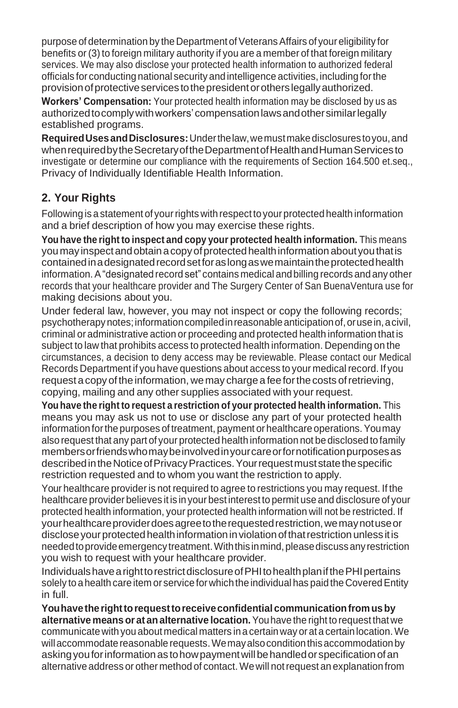purpose of determination by the Department of Veterans Affairs of your eligibility for benefits or (3) to foreign military authority if you are a member of that foreign military services. We may also disclose your protected health information to authorized federal officials for conducting national security andintelligence activities,including forthe provisionofprotectiveservices tothepresidentorothers legallyauthorized.

**Workers' Compensation:** Your protected health information may be disclosed by us as authorizedtocomplywithworkers'compensationlawsandothersimilarlegally established programs.

**RequiredUsesandDisclosures:**Underthelaw,wemustmakedisclosures toyou,and when required by the Secretary of the Department of Health and Human Services to investigate or determine our compliance with the requirements of Section 164.500 et.seq., Privacy of Individually Identifiable Health Information.

### **2. Your Rights**

Following is a statement of yourrights with respect to yourprotected health information and a brief description of how you may exercise these rights.

**You have the right to inspect and copy your protected health information.** This means you may inspect and obtain a copy of protected health information about you that is containedinadesignatedrecordsetforaslongaswemaintaintheprotectedhealth information.A"designated record set" contains medical andbilling records and any other records that your healthcare provider and The Surgery Center of San BuenaVentura use for making decisions about you.

Under federal law, however, you may not inspect or copy the following records; psychotherapynotes;informationcompiledinreasonableanticipationof,orusein,acivil, criminal or administrative action or proceeding and protected health information that is subject to law that prohibits access to protected health information. Depending on the circumstances, a decision to deny access may be reviewable. Please contact our Medical Records Department if you have questions about access to your medical record. If you request a copy of the information, we may charge a fee for the costs of retrieving, copying, mailing and any other supplies associated with your request.

**You have the right to request a restriction of your protected health information.** This means you may ask us not to use or disclose any part of your protected health information forthepurposes of treatment, payment orhealthcare operations.Youmay also request that any part of your protected health information not be disclosed to family membersorfriendswhomaybeinvolvedinyourcareorfornotificationpurposesas described in the Notice of Privacy Practices. Your request must state the specific restriction requested and to whom you want the restriction to apply.

Your healthcare provider is not required to agree to restrictions you may request. If the healthcare provider believes it is in your best interest to permit use and disclosure of your protected health information, your protected health information will not be restricted. If yourhealthcareproviderdoesagreetotherequestedrestriction,wemaynotuseor disclose your protected health information in violation of that restriction unless it is needed to provide emergency treatment. With this in mind, please discuss any restriction you wish to request with your healthcare provider.

IndividualshavearighttorestrictdisclosureofPHItohealthplanifthePHIpertains solely to a health care item or service for which the individual has paid the Covered Entity in full.

**Youhavetherighttorequesttoreceiveconfidential communicationfromusby alternative meansorat analternative location.**Youhave the right to request that we communicate with you about medical matters in a certain way or at a certain location. We will accommodate reasonable requests. We may also condition this accommodation by asking you for information as to how payment will be handled or specification of an alternative address or other method of contact.Wewill notrequest an explanation from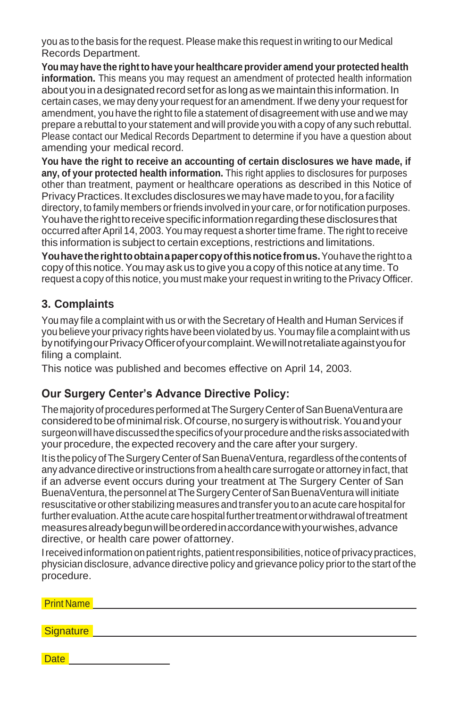you as to the basis for the request. Please make this request in writing to our Medical Records Department.

**Youmay have the right to have your healthcare provider amend your protected health information.** This means you may request an amendment of protected health information about you in a designated record set for as long as we maintain this information. In certain cases, we may deny your request for an amendment. If we deny your request for amendment, you have the right to file a statement of disagreement with use and we may prepare a rebuttal to your statement and will provide you with a copy of any such rebuttal. Please contact our Medical Records Department to determine if you have a question about amending your medical record.

**You have the right to receive an accounting of certain disclosures we have made, if any, of your protected health information.** This right applies to disclosures for purposes other than treatment, payment or healthcare operations as described in this Notice of Privacy Practices. It excludes disclosures we may have made to you, for a facility directory, to family members orfriends involved in your care, orfor notification purposes. You have the right to receive specific information regarding these disclosures that occurred after April 14, 2003. You may request a shorter time frame. The right to receive this information is subject to certain exceptions, restrictions and limitations.

**Youhavetherighttoobtainapapercopyofthisnoticefromus.**Youhavetherighttoa copy of this notice.You may ask us to give you acopy of this notice at any time. To request a copy of this notice, you must make your request in writing to the Privacy Officer.

## **3. Complaints**

You may file a complaint with us or with the Secretary of Health and Human Services if you believe your privacy rights have been violated by us.Youmay file a complaint with us by notifying our Privacy Officer of your complaint. We will not retaliate against you for filing a complaint.

This notice was published and becomes effective on April 14, 2003.

### **Our Surgery Center's Advance Directive Policy:**

The majority of procedures performed at The Surgery Center of San BuenaVentura are consideredtobeofminimalrisk.Ofcourse,nosurgery iswithoutrisk.Youandyour surgeon will have discussed the specifics of your procedure and the risks associated with your procedure, the expected recovery and the care after your surgery.

It is the policy of The Surgery Center of San BuenaVentura, regardless of the contents of any advance directive or instructions from a health care surrogate or attorney in fact, that if an adverse event occurs during your treatment at The Surgery Center of San BuenaVentura, the personnel at The Surgery Center of San BuenaVentura will initiate resuscitativeorother stabilizing measures and transfer youtoan acute care hospitalfor further evaluation. At the acute care hospital further treatment or withdrawal of treatment measuresalreadybegunwillbeorderedinaccordancewithyourwishes,advance directive, or health care power ofattorney.

I received information on patient rights, patient responsibilities, notice of privacy practices, physician disclosure, advance directive policy and grievance policy priorto the start of the procedure.

| Print Name |  |  |  |
|------------|--|--|--|
|            |  |  |  |
| Signature  |  |  |  |
|            |  |  |  |

**Date**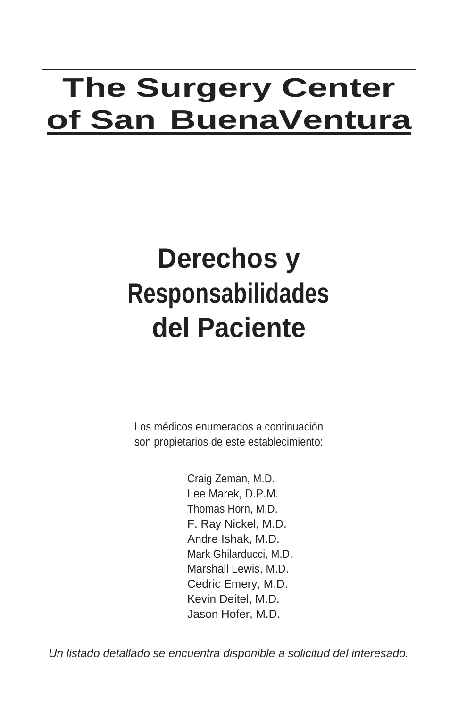# **The Surgery Center of San BuenaVentura**

# **Derechos y Responsabilidades del Paciente**

Los médicos enumerados a continuación son propietarios de este establecimiento:

> Craig Zeman, M.D. Lee Marek, D.P.M. Thomas Horn, M.D. F. Ray Nickel, M.D. Andre Ishak, M.D. Mark Ghilarducci, M.D. Marshall Lewis, M.D. Cedric Emery, M.D. Kevin Deitel, M.D. Jason Hofer, M.D.

*Un listado detallado se encuentra disponible a solicitud del interesado.*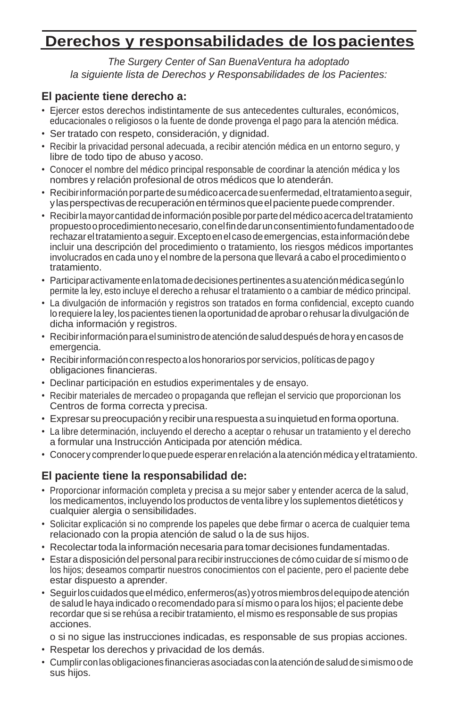# **Derechos y responsabilidades de lospacientes**

*The Surgery Center of San BuenaVentura ha adoptado la siguiente lista de Derechos y Responsabilidades de los Pacientes:*

### **El paciente tiene derecho a:**

- Ejercer estos derechos indistintamente de sus antecedentes culturales, económicos, educacionales o religiosos o la fuente de donde provenga el pago para la atención médica.
- Ser tratado con respeto, consideración, y dignidad.
- Recibir la privacidad personal adecuada, a recibir atención médica en un entorno seguro, y libre de todo tipo de abuso yacoso.
- Conocer el nombre del médico principal responsable de coordinar la atención médica y los nombres y relación profesional de otros médicos que lo atenderán.
- Recibirinformaciónporpartedesumédicoacercadesuenfermedad,eltratamientoaseguir, ylasperspectivasderecuperaciónentérminosqueelpacientepuedecomprender.
- Recibirlamayorcantidaddeinformaciónposibleporpartedelmédicoacercadeltratamiento propuestooprocedimientonecesario,conelfindedarunconsentimientofundamentadoode rechazareltratamientoaseguir.Exceptoenel casodeemergencias,estainformacióndebe incluir una descripción del procedimiento o tratamiento, los riesgos médicos importantes involucrados en cada uno y el nombre de la persona que llevará a cabo el procedimiento o tratamiento.
- Participaractivamenteenlatomadedecisionespertinentesasuatenciónmédicasegúnlo permite la ley, esto incluye el derecho a rehusar el tratamiento o a cambiar de médico principal.
- La divulgación de información y registros son tratados en forma confidencial, excepto cuando lo requiere la ley, los pacientes tienen la oportunidad de aprobar o rehusar la divulgación de dicha información y registros.
- Recibirinformaciónparaelsuministrodeatencióndesaluddespués dehorayencasosde emergencia.
- Recibirinformaciónconrespectoaloshonorarios porservicios,políticas depagoy obligaciones financieras.
- Declinar participación en estudios experimentales y de ensayo.
- Recibir materiales de mercadeo o propaganda que reflejan el servicio que proporcionan los Centros de forma correcta y precisa.
- Expresar supreocupacióny recibirunarespuesta asuinquietud enformaoportuna.
- La libre determinación, incluyendo el derecho a aceptar o rehusar un tratamiento y el derecho a formular una Instrucción Anticipada por atención médica.
- Conocery comprenderloquepuedeesperarenrelaciónalaatenciónmédicayeltratamiento.

### **El paciente tiene la responsabilidad de:**

- Proporcionar información completa y precisa a su mejor saber y entender acerca de la salud, los medicamentos, incluyendo los productos de venta libre y los suplementos dietéticos y cualquier alergia o sensibilidades.
- Solicitar explicación si no comprende los papeles que debe firmar o acerca de cualquier tema relacionado con la propia atención de salud o la de sus hijos.
- Recolectartoda la información necesaria para tomardecisiones fundamentadas.
- Estara disposición del personal para recibirinstrucciones decómo cuidar de sí mismoo de los hijos; deseamos compartir nuestros conocimientos con el paciente, pero el paciente debe estar dispuesto a aprender.
- Seguirloscuidadosqueelmédico,enfermeros(as)yotrosmiembrosdelequipodeatención de salud le haya indicado o recomendado para sí mismo o para los hijos; el paciente debe recordar que si se rehúsa a recibir tratamiento, el mismo es responsable de sus propias acciones.

o si no sigue las instrucciones indicadas, es responsable de sus propias acciones.

- Respetar los derechos y privacidad de los demás.
- Cumplirconlasobligaciones financierasasociadasconlaatencióndesaluddesimismoode sus hijos.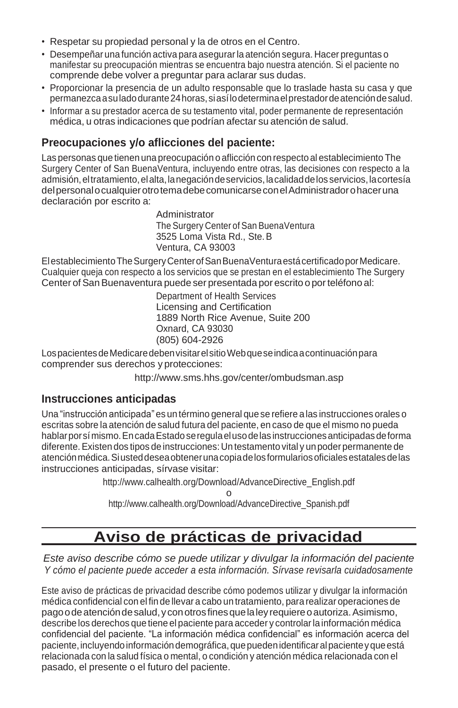- Respetar su propiedad personal y la de otros en el Centro.
- Desempeñaruna función activa para asegurarla atención segura. Hacer preguntas o manifestar su preocupación mientras se encuentra bajo nuestra atención. Si el paciente no comprende debe volver a preguntar para aclarar sus dudas.
- Proporcionar la presencia de un adulto responsable que lo traslade hasta su casa y que permanezcaasuladodurante24horas,siasílodeterminaelprestadordeatencióndesalud.
- Informar a su prestador acerca de su testamento vital, poder permanente de representación médica, u otras indicaciones que podrían afectar su atención de salud.

### **Preocupaciones y/o aflicciones del paciente:**

Las personas que tienen una preocupación o aflicción con respecto al establecimiento The Surgery Center of San BuenaVentura, incluyendo entre otras, las decisiones con respecto a la admisión, el tratamiento, el alta, la negación de servicios, la calidad de los servicios, la cortesía delpersonalocualquierotrotemadebecomunicarseconelAdministradorohaceruna declaración por escrito a:

> Administrator The Surgery Center of San BuenaVentura 3525 Loma Vista Rd., Ste.B Ventura, CA 93003

ElestablecimientoTheSurgeryCenterofSanBuenaVenturaestácertificadoporMedicare. Cualquier queja con respecto a los servicios que se prestan en el establecimiento The Surgery Center of San Buenaventura puede ser presentada por escrito o por teléfono al:

> Department of Health Services Licensing and Certification 1889 North Rice Avenue, Suite 200 Oxnard, CA 93030 (805) 604-2926

LospacientesdeMedicaredebenvisitarelsitioWebqueseindicaacontinuaciónpara comprender sus derechos y protecciones:

<http://www.sms.hhs.gov/center/ombudsman.asp>

#### **Instrucciones anticipadas**

Una "instrucción anticipada" es un término general quese refiere alas instrucciones orales o escritas sobre la atención de salud futura del paciente, en caso de que el mismo no pueda hablar por sí mismo. En cada Estado se regula el uso de las instrucciones anticipadas de forma diferente.Existen dos tipos de instrucciones: Un testamento vital y unpoder permanente de atención médica. Si usted desea obtener una copia de los formularios oficiales estatales de las instrucciones anticipadas, sírvase visitar:

> [http://www.calhealth.org/Download/AdvanceDirective\\_English.pdf](http://www.calhealth.org/Download/AdvanceDirective_English.pdf) o

[http://www.calhealth.org/Download/AdvanceDirective\\_Spanish.pdf](http://www.calhealth.org/Download/AdvanceDirective_Spanish.pdf)

# **Aviso de prácticas de privacidad**

*Este aviso describe cómo se puede utilizar y divulgar la información del paciente Y cómo el paciente puede acceder a esta información. Sírvase revisarla cuidadosamente*

Este aviso de prácticas de privacidad describe cómo podemos utilizar y divulgar la información médica confidencial con el fin de llevar a cabo un tratamiento, para realizar operaciones de pagoodeatencióndesalud,yconotrosfinesquelaleyrequiereoautoriza.Asimismo, describe los derechos que tiene el paciente para acceder y controlarla información médica confidencial del paciente. "La información médica confidencial" es información acerca del paciente, incluyendo información demográfica, que pueden identificar al paciente y que está relacionada con la salud física o mental, o condición y atención médica relacionada con el pasado, el presente o el futuro del paciente.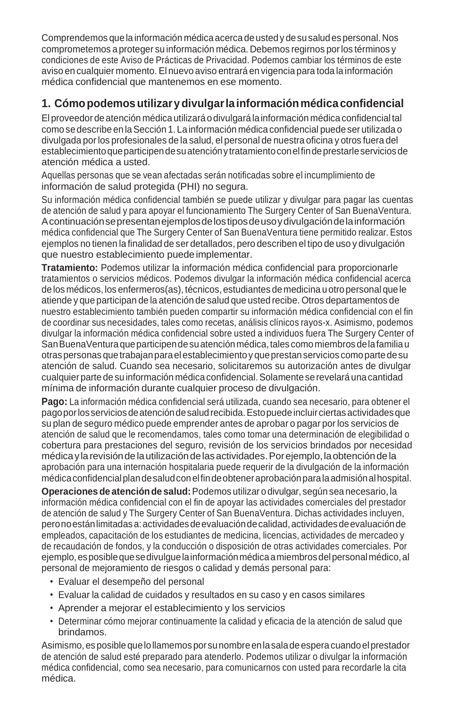Comprendemos quelainformación médicaacerca deusted y desusalud es personal. Nos comprometemos a proteger su información médica. Debemos regirnos porlos términos y condiciones de este Aviso de Prácticas de Privacidad. Podemos cambiar los términos de este aviso en cualquier momento. El nuevo aviso entrará en vigencia para toda la información médica confidencial que mantenemos en ese momento.

### **1. Cómopodemosutilizarydivulgarlainformaciónmédicaconfidencial**

El proveedordeatención médica utilizará odivulgará lainformación médica confidencial tal como sedescribe enlaSección 1. Lainformación médica confidencial puedeser utilizada o divulgada porlos profesionales de la salud, el personal de nuestra oficina y otros fuera del establecimientoqueparticipendesuatenciónytratamientoconelfindeprestarleserviciosde atención médica a usted.

Aquellas personas que se vean afectadas serán notificadas sobre el incumplimiento de información de salud protegida (PHI) no segura.

Su información médica confidencial también se puede utilizar y divulgar para pagar las cuentas de atención de salud y para apoyar el funcionamiento The Surgery Center of San BuenaVentura. Acontinuaciónsepresentanejemplosdelostiposdeusoydivulgacióndelainformación médica confidencial que The Surgery Center of San BuenaVentura tiene permitido realizar. Estos ejemplos no tienen la finalidad de ser detallados, pero describen el tipo de uso y divulgación que nuestro establecimiento puede implementar.

**Tratamiento:** Podemos utilizar la información médica confidencial para proporcionarle tratamientos o servicios médicos. Podemos divulgar la información médica confidencial acerca de los médicos, los enfermeros(as), técnicos,estudiantes demedicina uotropersonal quele atiende y que participan de la atención de salud que usted recibe. Otros departamentos de nuestro establecimiento también pueden compartir su información médica confidencial con el fin de coordinar sus necesidades, tales como recetas, análisis clínicos rayos-x. Asimismo, podemos divulgar la información médica confidencial sobre usted a individuos fuera The Surgery Center of San Buena Ventura que participen de su atención médica, tales como miembros de la familia u otraspersonas quetrabajanparael establecimientoy queprestanservicios comoparte desu atención de salud. Cuando sea necesario, solicitaremos su autorización antes de divulgar cualquier partedesuinformación médica confidencial.Solamente serevelará unacantidad mínima de información durante cualquier proceso de divulgación.

**Pago:** La información médica confidencial será utilizada, cuando sea necesario, para obtener el pagoporlosserviciosdeatencióndesaludrecibida.Estopuedeincluirciertas actividadesque su plan de seguro médico puede emprender antes de aprobar o pagar porlos servicios de atención de salud que le recomendamos, tales como tomar una determinación de elegibilidad o cobertura para prestaciones del seguro, revisión de los servicios brindados por necesidad médicay larevisióndelautilizacióndelasactividades.Porejemplo,laobtencióndela aprobación para una internación hospitalaria puede requerir de la divulgación de la información médicaconfidencialplandesaludconelfindeobteneraprobaciónparalaadmisiónalhospital.

**Operaciones de atenciónde salud:**Podemos utilizar odivulgar, según seanecesario, la información médica confidencial con el fin de apoyar las actividades comerciales del prestador de atención de salud y The Surgery Center of San BuenaVentura. Dichas actividades incluyen, peronoestánlimitadasa:actividadesdeevaluacióndecalidad,actividadesdeevaluaciónde empleados, capacitación de los estudiantes de medicina, licencias, actividades de mercadeo y de recaudación de fondos, y la conducción o disposición de otras actividades comerciales. Por ejemplo,esposiblequesedivulguelainformaciónmédicaamiembrosdelpersonalmédico,al personal de mejoramiento de riesgos o calidad y demás personal para:

- Evaluar el desempeño del personal
- Evaluar la calidad de cuidados y resultados en su caso y en casos similares
- Aprender a mejorar el establecimiento y los servicios
- Determinar cómo mejorar continuamente la calidad y eficacia de la atención de salud que brindamos.

Asimismo,esposible quelollamemosporsunombreenlasaladeespera cuandoel prestador de atención de salud esté preparado para atenderlo. Podemos utilizar o divulgar la información médica confidencial, como sea necesario, para comunicarnos con usted para recordarle la cita médica.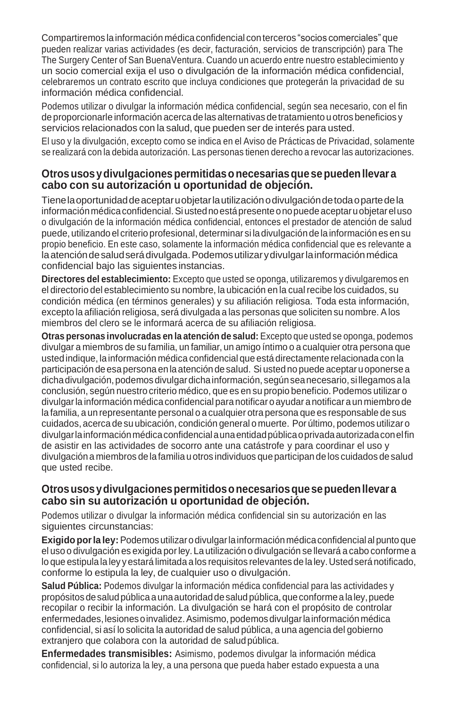Compartiremos lainformación médica confidencial conterceros "socios comerciales" que pueden realizar varias actividades (es decir, facturación, servicios de transcripción) para The The Surgery Center of San BuenaVentura. Cuando un acuerdo entre nuestro establecimiento y un socio comercial exija el uso o divulgación de la información médica confidencial, celebraremos un contrato escrito que incluya condiciones que protegerán la privacidad de su información médica confidencial.

Podemos utilizar o divulgar la información médica confidencial, según sea necesario, con el fin de proporcionarle información acerca delas alternativas detratamiento uotros beneficios y servicios relacionados con la salud, que pueden ser de interés para usted.

El uso y la divulgación, excepto como se indica en el Aviso de Prácticas de Privacidad, solamente se realizará con la debida autorización. Las personas tienen derecho a revocar las autorizaciones.

#### **Otrosusosydivulgacionespermitidasonecesariasquesepuedenllevara cabo con su autorización u oportunidad de objeción.**

Tienelaoportunidaddeaceptaruobjetarlautilizaciónodivulgacióndetodaopartedela informaciónmédicaconfidencial.Si ustednoestápresente onopuede aceptaruobjetareluso o divulgación de la información médica confidencial, entonces el prestador de atención de salud puede, utilizando el criterio profesional, determinar si ladivulgación de lainformación es ensu propio beneficio. En este caso, solamente la información médica confidencial que es relevante a la atención de salud será divulgada. Podemos utilizar y divulgar la información médica confidencial bajo las siguientes instancias.

**Directores del establecimiento:** Excepto que usted se oponga, utilizaremos y divulgaremos en el directorio del establecimiento su nombre, la ubicación en la cual recibe los cuidados, su condición médica (en términos generales) y su afiliación religiosa. Toda esta información, excepto la afiliación religiosa, será divulgada a las personas que soliciten su nombre. Alos miembros del clero se le informará acerca de su afiliación religiosa.

**Otras personas involucradas en la atención de salud:** Excepto que usted se oponga, podemos divulgar a miembros de su familia, un familiar, un amigo íntimo o a cualquier otra persona que usted indique, lainformación médica confidencial que está directamente relacionada con la participación deesapersona enlaatención desalud. Si usted no puede aceptaruoponerse a dichadivulgación,podemosdivulgardichainformación, segúnseanecesario, si llegamosala conclusión, según nuestro criterio médico, que es en su propio beneficio. Podemos utilizar o divulgarla información médica confidencial para notificar oayudar anotificar aun miembro de la familia, a un representante personal o a cualquier otra persona que es responsable de sus cuidados, acerca desu ubicación, condición general o muerte. Por último, podemos utilizar o divulgar la información médica confidencial a una entidad pública o privada autorizada con el fin de asistir en las actividades de socorro ante una catástrofe y para coordinar el uso y divulgación a miembros delafamilia uotros individuos queparticipan de los cuidados desalud que usted recibe.

#### **Otrosusosydivulgacionespermitidosonecesariosquesepuedenllevara cabo sin su autorización u oportunidad de objeción.**

Podemos utilizar o divulgar la información médica confidencial sin su autorización en las siguientes circunstancias:

**Exigido porla ley:**Podemosutilizarodivulgarlainformación médicaconfidencialal puntoque el uso o divulgación es exigida porley. La utilización o divulgación se llevará a cabo conforme a lo que estipula la ley y estará limitada a los requisitos relevantes de la ley. Usted será notificado, conforme lo estipula la ley, de cualquier uso o divulgación.

**Salud Pública:** Podemos divulgar la información médica confidencial para las actividades y propósitos de salud pública a una autoridad de salud pública, que conforme a la ley, puede recopilar o recibir la información. La divulgación se hará con el propósito de controlar enfermedades,lesionesoinvalidez.Asimismo,podemosdivulgarlainformaciónmédica confidencial, si así lo solicita la autoridad de salud pública, a una agencia del gobierno extranjero que colabora con la autoridad de saludpública.

**Enfermedades transmisibles:** Asimismo, podemos divulgar la información médica confidencial, si lo autoriza la ley, a una persona que pueda haber estado expuesta a una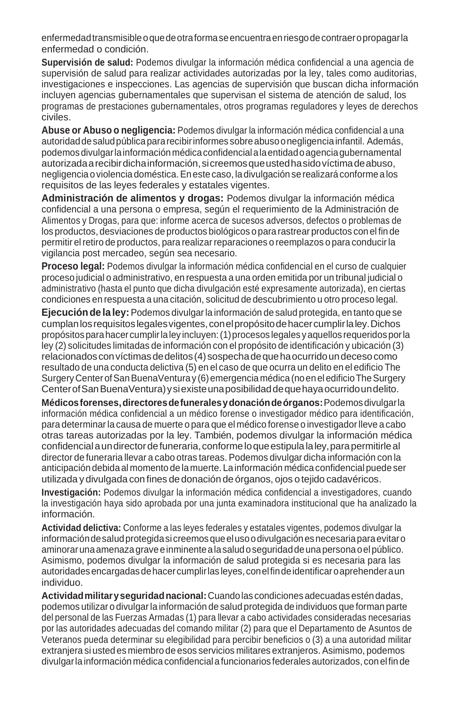enfermedadtransmisibleoquedeotraformaseencuentraenriesgodecontraeropropagarla enfermedad o condición.

**Supervisión de salud:** Podemos divulgar la información médica confidencial a una agencia de supervisión de salud para realizar actividades autorizadas por la ley, tales como auditorias, investigaciones e inspecciones. Las agencias de supervisión que buscan dicha información incluyen agencias gubernamentales que supervisan el sistema de atención de salud, los programas de prestaciones gubernamentales, otros programas reguladores y leyes de derechos civiles.

**Abuse or Abuso o negligencia:** Podemos divulgar la información médica confidencial a una autoridaddesaludpúblicapararecibirinformes sobreabusoonegligenciainfantil. Además, podemosdivulgarlainformaciónmédicaconfidencialalaentidadoagenciagubernamental autorizadaarecibirdichainformación,sicreemosqueustedhasidovíctimadeabuso, negligencia oviolencia doméstica.Enestecaso, ladivulgación serealizará conforme alos requisitos de las leyes federales y estatales vigentes.

**Administración de alimentos y drogas:** Podemos divulgar la información médica confidencial a una persona o empresa, según el requerimiento de la Administración de Alimentos y Drogas, para que: informe acerca de sucesos adversos, defectos o problemas de los productos, desviaciones deproductos biológicos opara rastrear productos conel finde permitir elretiro de productos, para realizar reparaciones o reemplazos o para conducirla vigilancia post mercadeo, según sea necesario.

**Proceso legal:** Podemos divulgar la información médica confidencial en el curso de cualquier proceso judicial o administrativo, en respuesta a una orden emitida por un tribunal judicial o administrativo (hasta el punto que dicha divulgación esté expresamente autorizada), en ciertas condiciones en respuesta a una citación, solicitud de descubrimiento u otro proceso legal.

**Ejecuciónde la ley:**Podemos divulgarla información de salud protegida, en tanto que se cumplan los requisitos legales vigentes, con el propósito de hacer cumplir la ley. Dichos propósitosparahacercumplirlaley incluyen:(1)procesos legales yaquellos requeridosporla ley (2) solicitudes limitadas de información con el propósito de identificación y ubicación (3) relacionados con víctimas de delitos (4) sospecha de que ha ocurrido un deceso como resultado de una conducta delictiva (5) en el caso de que ocurra un delito en el edificio The SurgeryCenterofSanBuenaVenturay (6)emergencia médica (noenel edificioTheSurgery CenterofSanBuenaVentura)ysiexisteunaposibilidaddequehayaocurridoundelito.

**Médicosforenses,directoresdefuneralesydonacióndeórganos:**Podemosdivulgarla información médica confidencial a un médico forense o investigador médico para identificación, para determinarla causa de muerte o para que el médico forense o investigadorlleve a cabo otras tareas autorizadas por la ley. También, podemos divulgar la información médica confidencialaundirectordefuneraria,conformeloqueestipulalaley,parapermitirleal director de funeraria llevar a cabo otras tareas. Podemos divulgar dicha información con la anticipación debida al momento de lamuerte. La información médicaconfidencial puedeser utilizada y divulgada con fines de donación de órganos, ojos o tejido cadavéricos.

**Investigación:** Podemos divulgar la información médica confidencial a investigadores, cuando la investigación haya sido aprobada por una junta examinadora institucional que ha analizado la información.

**Actividad delictiva:** Conforme a las leyes federales y estatales vigentes, podemos divulgar la informacióndesaludprotegidasicreemosqueelusoodivulgaciónesnecesariaparaevitaro aminorarunaamenaza graveeinminentealasaludoseguridaddeuna personaoel público. Asimismo, podemos divulgar la información de salud protegida si es necesaria para las autoridadesencargadasdehacercumplirlas leyes,conelfindeidentificaroaprehenderaun individuo.

**Actividadmilitaryseguridadnacional:**Cuandolas condiciones adecuadas esténdadas, podemos utilizar o divulgarla información de salud protegida de individuos que forman parte del personal de las Fuerzas Armadas (1) para llevar a cabo actividades consideradas necesarias por las autoridades adecuadas del comando militar (2) para que el Departamento de Asuntos de Veteranos pueda determinar su elegibilidad para percibir beneficios o (3) a una autoridad militar extranjera si usted es miembro de esos servicios militares extranjeros. Asimismo, podemos divulgarlainformación médica confidencialafuncionarios federales autorizados, conelfinde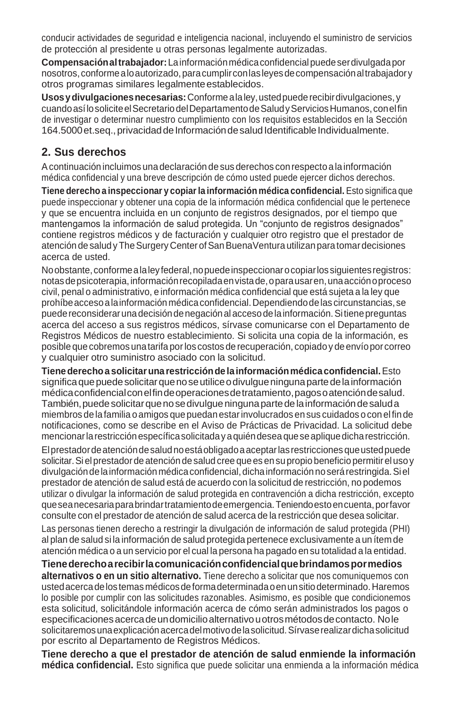conducir actividades de seguridad e inteligencia nacional, incluyendo el suministro de servicios de protección al presidente u otras personas legalmente autorizadas.

**Compensaciónaltrabajador:**Lainformaciónmédicaconfidencialpuedeserdivulgadapor nosotros,conformealoautorizado,paracumplirconlasleyesdecompensaciónaltrabajadory otros programas similares legalmente establecidos.

**Usosydivulgacionesnecesarias:**Conformealaley,ustedpuederecibirdivulgaciones, y cuandoasílosoliciteelSecretariodelDepartamentodeSaludyServiciosHumanos,conelfin de investigar o determinar nuestro cumplimiento con los requisitos establecidos en la Sección 164.5000 et.seq., privacidad de Información de salud Identificable Individualmente.

### **2. Sus derechos**

Acontinuación incluimos unadeclaración desus derechos conrespecto alainformación médica confidencial y una breve descripción de cómo usted puede ejercer dichos derechos.

**Tiene derecho a inspeccionar y copiarla información médica confidencial.** Esto significa que puede inspeccionar y obtener una copia de la información médica confidencial que le pertenece y que se encuentra incluida en un conjunto de registros designados, por el tiempo que mantengamos la información de salud protegida. Un "conjunto de registros designados" contiene registros médicos y de facturación y cualquier otro registro que el prestador de atención de salud y The Surgery Center of San BuenaVentura utilizan para tomar decisiones acerca de usted.

No obstante, conforme a la ley federal, no puede inspeccionar o copiar los siguientes registros: notas de psicoterapia, información recopilada en vista de, o para usar en, una acción o proceso civil, penal o administrativo, e información médica confidencial que está sujeta a la ley que prohíbeaccesoalainformación médicaconfidencial.Dependiendodelas circunstancias,se puedereconsiderarunadecisióndenegaciónal accesodelainformación.Sitienepreguntas acerca del acceso a sus registros médicos, sírvase comunicarse con el Departamento de Registros Médicos de nuestro establecimiento. Si solicita una copia de la información, es posible quecobremos unatarifa porlos costos de recuperación, copiadoy deenvíopor correo y cualquier otro suministro asociado con la solicitud.

**Tienederechoa solicitaruna restricciónde lainformaciónmédicaconfidencial.**Esto significa que puede solicitar que no se utilice o divulgue ninguna parte de la información médicaconfidencialconelfindeoperacionesdetratamiento,pagosoatencióndesalud. También, puede solicitar que no se divulgue ninguna parte de la información de saluda miembros delafamilia o amigos quepuedan estarinvolucrados ensus cuidados ocon el finde notificaciones, como se describe en el Aviso de Prácticas de Privacidad. La solicitud debe mencionarlarestricciónespecíficasolicitadayaquiéndeseaqueseapliquedicharestricción. Elprestadordeatencióndesaludnoestáobligadoaaceptarlasrestricciones queustedpuede solicitar.Si el prestadorde atención desalud cree quees ensupropio beneficio permitirel usoy divulgación de la información médica confidencial, dicha información no será restringida. Si el prestador de atención de salud está de acuerdo con la solicitud de restricción, no podemos utilizar o divulgar la información de salud protegida en contravención a dicha restricción, excepto queseanecesariaparabrindartratamientodeemergencia.Teniendoestoencuenta,porfavor consulte con el prestador de atención de salud acerca de la restricción que desea solicitar.

Las personas tienen derecho a restringir la divulgación de información de salud protegida (PHI) al plan de salud si la información de salud protegida pertenece exclusivamente a un ítem de atención médica o a un servicio por el cual la persona ha pagado en su totalidad a la entidad.

**Tienederechoarecibirlacomunicaciónconfidencialquebrindamospormedios alternativos o en un sitio alternativo.** Tiene derecho a solicitar que nos comuniquemos con ustedacercadelostemas médicosdeformadeterminadaoenunsitiodeterminado.Haremos lo posible por cumplir con las solicitudes razonables. Asimismo, es posible que condicionemos esta solicitud, solicitándole información acerca de cómo serán administrados los pagos o especificaciones acerca de un domicilio alternativo u otros métodos de contacto. No le solicitaremosunaexplicaciónacercadelmotivodelasolicitud.Sírvaserealizardichasolicitud por escrito al Departamento de Registros Médicos.

**Tiene derecho a que el prestador de atención de salud enmiende la información médica confidencial.** Esto significa que puede solicitar una enmienda a la información médica